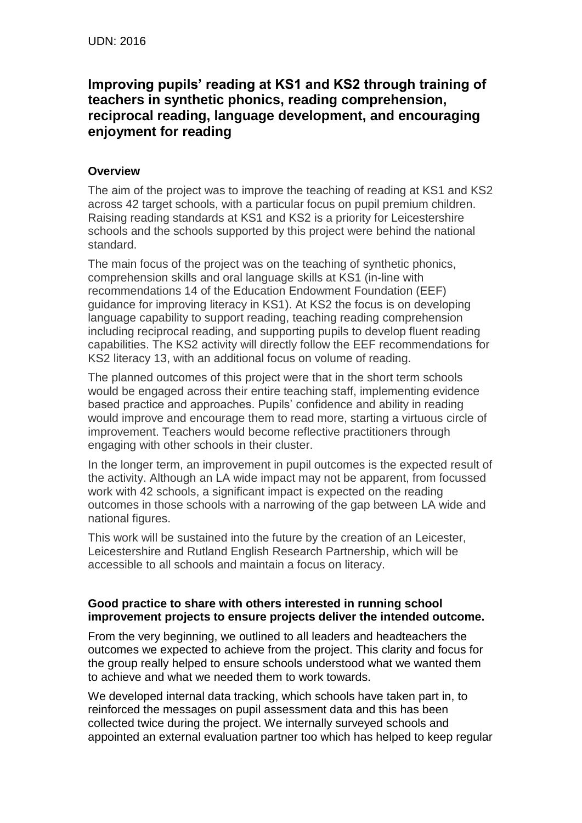# **Improving pupils' reading at KS1 and KS2 through training of teachers in synthetic phonics, reading comprehension, reciprocal reading, language development, and encouraging enjoyment for reading**

## **Overview**

The aim of the project was to improve the teaching of reading at KS1 and KS2 across 42 target schools, with a particular focus on pupil premium children. Raising reading standards at KS1 and KS2 is a priority for Leicestershire schools and the schools supported by this project were behind the national standard.

The main focus of the project was on the teaching of synthetic phonics, comprehension skills and oral language skills at KS1 (in-line with recommendations 14 of the Education Endowment Foundation (EEF) guidance for improving literacy in KS1). At KS2 the focus is on developing language capability to support reading, teaching reading comprehension including reciprocal reading, and supporting pupils to develop fluent reading capabilities. The KS2 activity will directly follow the EEF recommendations for KS2 literacy 13, with an additional focus on volume of reading.

The planned outcomes of this project were that in the short term schools would be engaged across their entire teaching staff, implementing evidence based practice and approaches. Pupils' confidence and ability in reading would improve and encourage them to read more, starting a virtuous circle of improvement. Teachers would become reflective practitioners through engaging with other schools in their cluster.

In the longer term, an improvement in pupil outcomes is the expected result of the activity. Although an LA wide impact may not be apparent, from focussed work with 42 schools, a significant impact is expected on the reading outcomes in those schools with a narrowing of the gap between LA wide and national figures.

This work will be sustained into the future by the creation of an Leicester, Leicestershire and Rutland English Research Partnership, which will be accessible to all schools and maintain a focus on literacy.

### **Good practice to share with others interested in running school improvement projects to ensure projects deliver the intended outcome.**

From the very beginning, we outlined to all leaders and headteachers the outcomes we expected to achieve from the project. This clarity and focus for the group really helped to ensure schools understood what we wanted them to achieve and what we needed them to work towards.

We developed internal data tracking, which schools have taken part in, to reinforced the messages on pupil assessment data and this has been collected twice during the project. We internally surveyed schools and appointed an external evaluation partner too which has helped to keep regular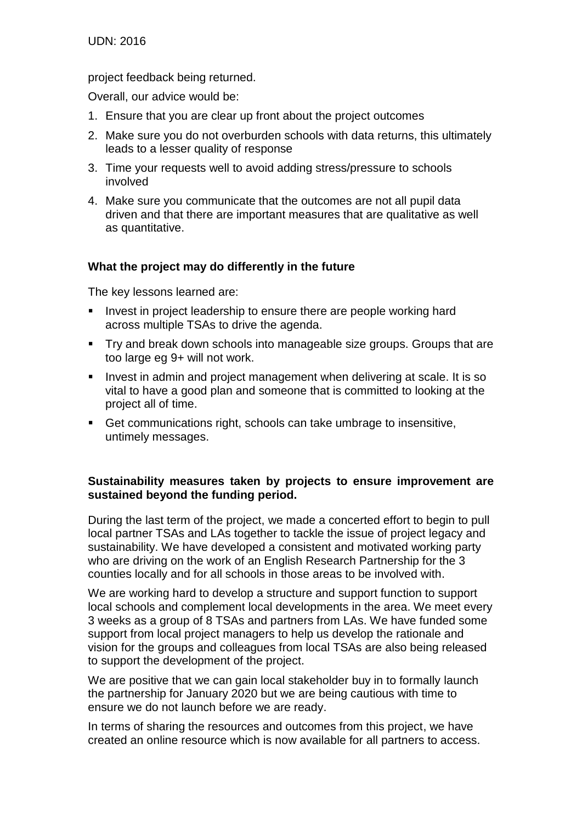UDN: 2016

project feedback being returned.

Overall, our advice would be:

- 1. Ensure that you are clear up front about the project outcomes
- 2. Make sure you do not overburden schools with data returns, this ultimately leads to a lesser quality of response
- 3. Time your requests well to avoid adding stress/pressure to schools involved
- 4. Make sure you communicate that the outcomes are not all pupil data driven and that there are important measures that are qualitative as well as quantitative.

### **What the project may do differently in the future**

The key lessons learned are:

- I Invest in project leadership to ensure there are people working hard across multiple TSAs to drive the agenda.
- **Try and break down schools into manageable size groups. Groups that are** too large eg 9+ will not work.
- **Invest in admin and project management when delivering at scale. It is so** vital to have a good plan and someone that is committed to looking at the project all of time.
- Get communications right, schools can take umbrage to insensitive, untimely messages.

### **Sustainability measures taken by projects to ensure improvement are sustained beyond the funding period.**

During the last term of the project, we made a concerted effort to begin to pull local partner TSAs and LAs together to tackle the issue of project legacy and sustainability. We have developed a consistent and motivated working party who are driving on the work of an English Research Partnership for the 3 counties locally and for all schools in those areas to be involved with.

We are working hard to develop a structure and support function to support local schools and complement local developments in the area. We meet every 3 weeks as a group of 8 TSAs and partners from LAs. We have funded some support from local project managers to help us develop the rationale and vision for the groups and colleagues from local TSAs are also being released to support the development of the project.

We are positive that we can gain local stakeholder buy in to formally launch the partnership for January 2020 but we are being cautious with time to ensure we do not launch before we are ready.

In terms of sharing the resources and outcomes from this project, we have created an online resource which is now available for all partners to access.